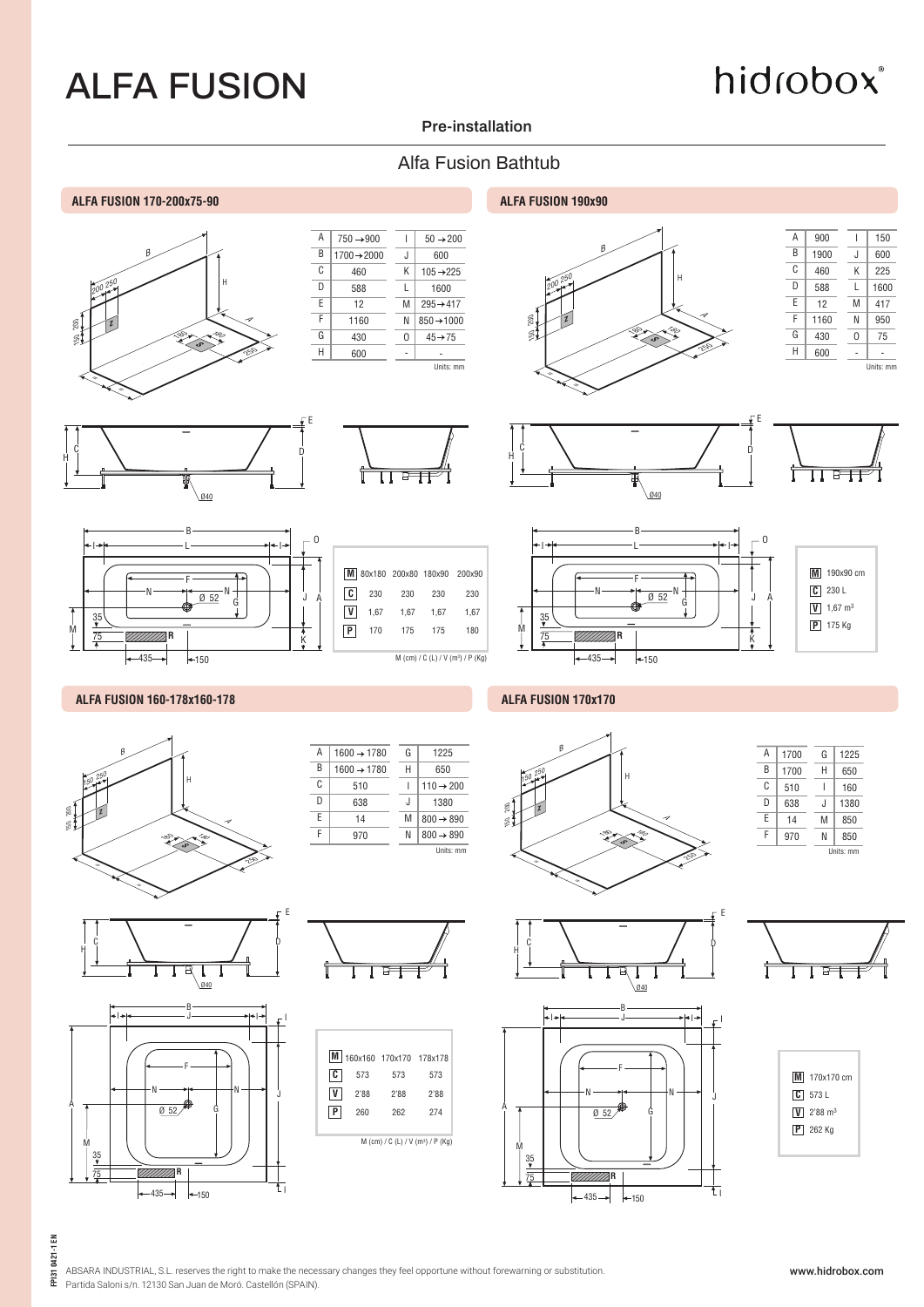# hidrobox®

### **Pre-installation**

### Alfa Fusion Bathtub

#### **ALFA FUSION 170-200x75-90 ALFA FUSION 190x90**



| Α | $750 \rightarrow 900$   |   | $50 \rightarrow 200$   |
|---|-------------------------|---|------------------------|
| B | $1700 \rightarrow 2000$ | J | 600                    |
| C | 460                     | K | $105 + 225$            |
| D | 588                     | L | 1600                   |
| F | 12                      | M | $295 \rightarrow 417$  |
| F | 1160                    | Ν | $850 \rightarrow 1000$ |
| G | 430                     | U | $45 \rightarrow 75$    |
| Н | 600                     |   |                        |
|   |                         |   | Units: mm              |







|              |      |      | M 80x180 200x80 180x90 | 200x90                                        |
|--------------|------|------|------------------------|-----------------------------------------------|
| C            | 230  | 230  | 230                    | 230                                           |
| $\mathsf{v}$ | 1,67 | 1.67 | 1.67                   | 1.67                                          |
| P            | 170  | 175  | 175                    | 180                                           |
|              |      |      |                        |                                               |
|              |      |      |                        | M (cm) / C (L) / V (m <sup>3</sup> ) / P (Kg) |

 $\overline{\mathsf{G}}$ 

1225











#### **ALFA FUSION 160-178x160-178 ALFA FUSION 170x170**







| B | $1600 \rightarrow 1780$ | Н | 650                   |
|---|-------------------------|---|-----------------------|
| C | 510                     |   | $110 \rightarrow 200$ |
| D | 638                     | J | 1380                  |
| E | 14                      | M | $800 \rightarrow 890$ |
| F | 970                     | Ν | $800 \rightarrow 890$ |
|   |                         |   | Units: mm             |
|   |                         |   |                       |
|   |                         |   |                       |

A | 1600  $\rightarrow$  1780

E







 $\begin{array}{cc} \begin{array}{ccc} \downarrow & c & & \end{array} & \begin{array}{ccc} & & & \downarrow & & \end{array} & \begin{array}{ccc} & & & \downarrow & & \end{array} \end{array}$ 

F

B

*MA***F** 

 $-435 - \bullet$ 

VI).

 N  $\overline{0}$  52

I J

 $\frac{35}{2}$ 75

M

A

 $+150$ 

Ø40

N G

I

J

I

t.

E





| M 170x170 cm                             |
|------------------------------------------|
| $C$ 573 L                                |
| $\boxed{\mathbf{V}}$ 2'88 m <sup>3</sup> |
| $P$ 262 Kg                               |
|                                          |



ABSARA INDUSTRIAL, S.L. reserves the right to make the necessary changes they feel opportune without forewarning or substitution. Partida Saloni s/n. 12130 San Juan de Moró. Castellón (SPAIN).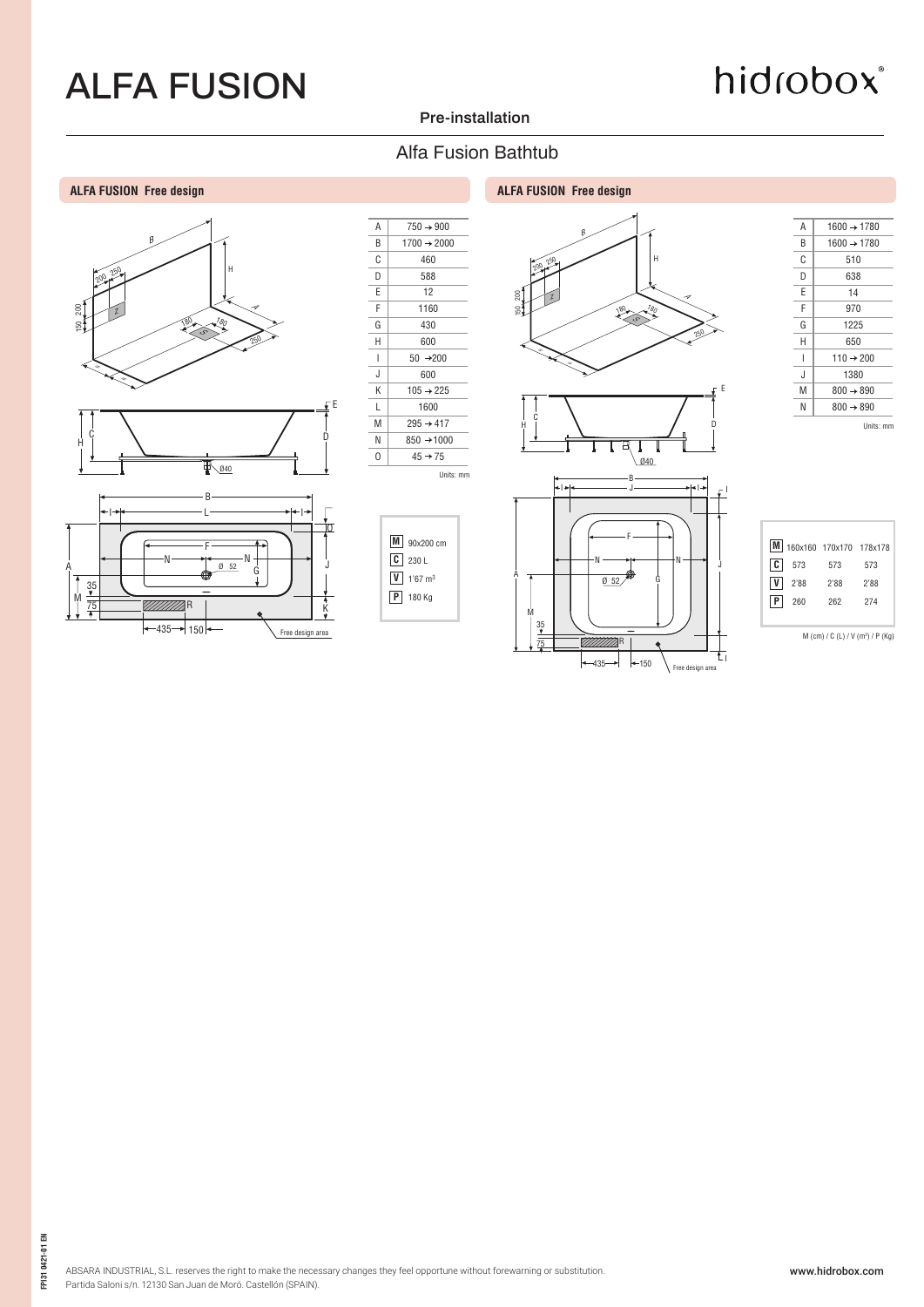# hidrobox®

### **Pre-installation**

### Alfa Fusion Bathtub

#### **ALFA FUSION Free design ALFA FUSION Free design**













R  $+435 + 150$ 

Free design area

 35 75

M

| Α | $1600 \rightarrow 1780$ |
|---|-------------------------|
| R | $1600 \rightarrow 1780$ |
| C | 510                     |
| D | 638                     |
| F | 14                      |
| F | 970                     |
| G | 1225                    |
| Н | 650                     |
| ı | $110 \rightarrow 200$   |
| J | 1380                    |
| M | $800 \rightarrow 890$   |
| Ν | $800 \rightarrow 890$   |
|   | Units: mm               |

**M** 160x160 170x170 178x178 **C** 573 **V P** 2'88 260 573 2'88 262 573 2'88 274

M (cm) / C (L) / V (m3 ) / P (Kg)

FP1310421-01 EN **FPI31 0421-01 EN**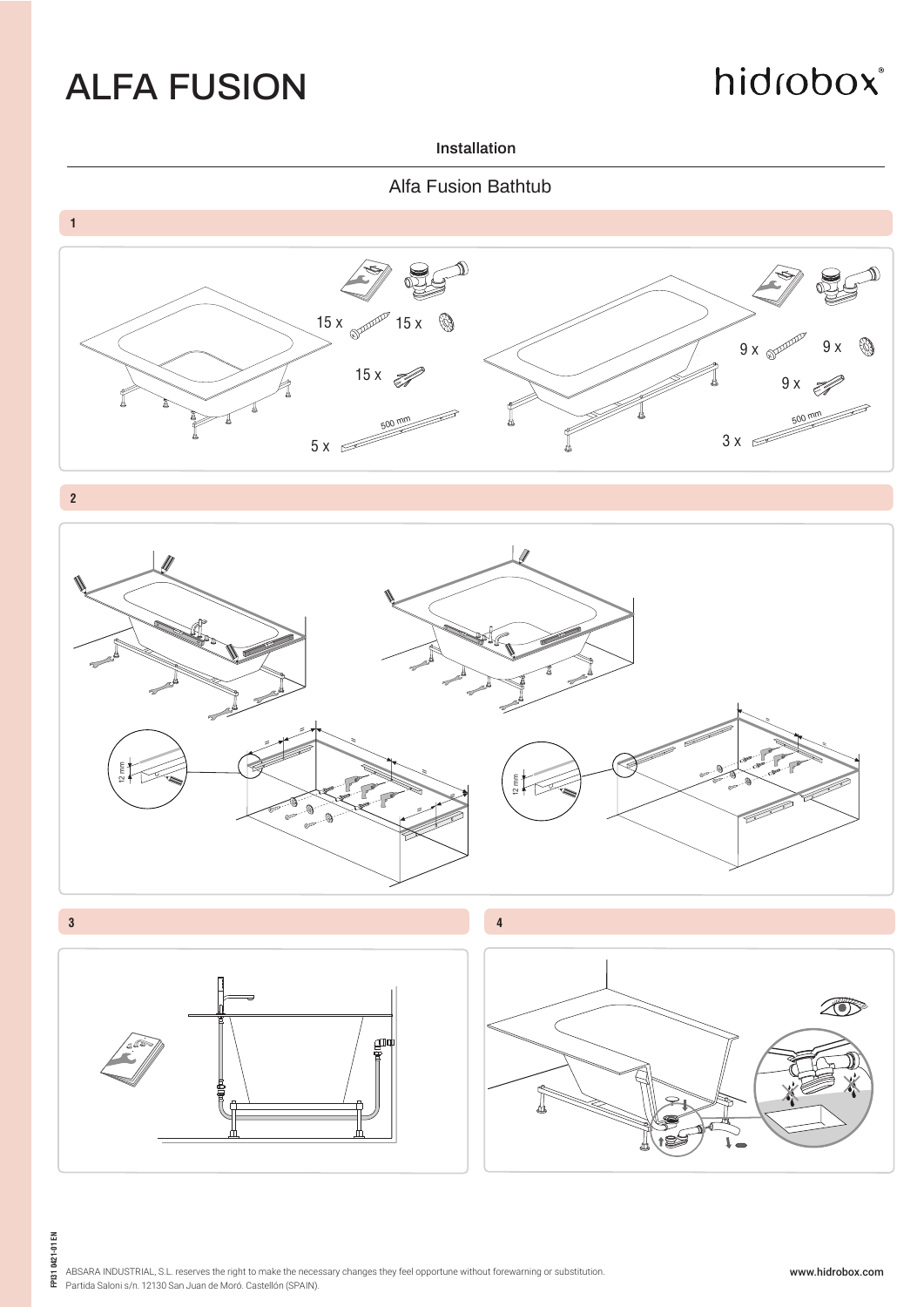# hidrobox®

### **Installation**

Alfa Fusion Bathtub

**1**



**2**



**3 4**